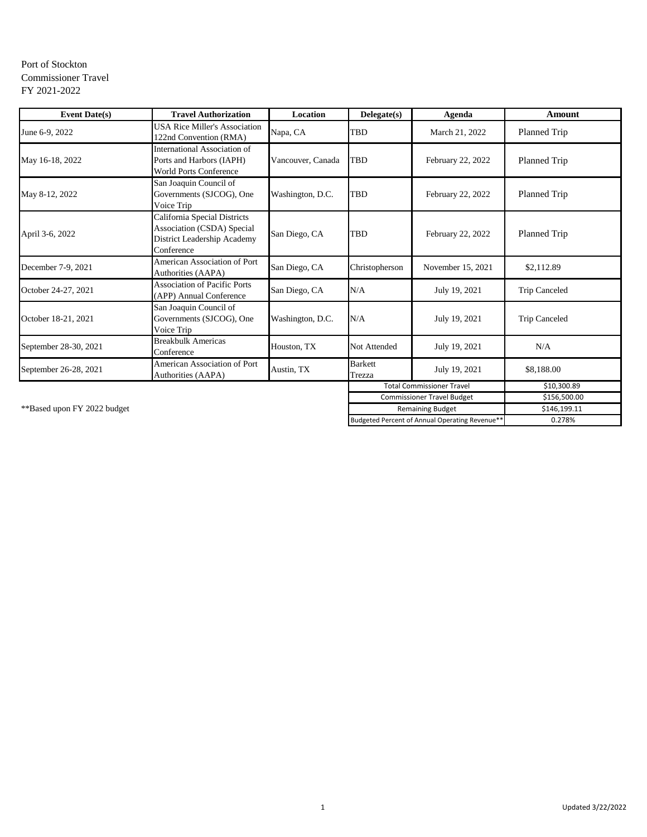## Port of Stockton Commissioner Travel FY 2021-2022

| <b>Event Date(s)</b>  | <b>Travel Authorization</b>                                                                             | Location          | Delegate(s)              | Agenda                            | <b>Amount</b>        |
|-----------------------|---------------------------------------------------------------------------------------------------------|-------------------|--------------------------|-----------------------------------|----------------------|
| June 6-9, 2022        | <b>USA Rice Miller's Association</b><br>122nd Convention (RMA)                                          | Napa, CA          | <b>TBD</b>               | March 21, 2022                    | Planned Trip         |
| May 16-18, 2022       | International Association of<br>Ports and Harbors (IAPH)<br><b>World Ports Conference</b>               | Vancouver, Canada | <b>TBD</b>               | February 22, 2022                 | Planned Trip         |
| May 8-12, 2022        | San Joaquin Council of<br>Governments (SJCOG), One<br>Voice Trip                                        | Washington, D.C.  | <b>TBD</b>               | February 22, 2022                 | Planned Trip         |
| April 3-6, 2022       | California Special Districts<br>Association (CSDA) Special<br>District Leadership Academy<br>Conference | San Diego, CA     | <b>TBD</b>               | February 22, 2022                 | Planned Trip         |
| December 7-9, 2021    | <b>American Association of Port</b><br>Authorities (AAPA)                                               | San Diego, CA     | Christopherson           | November 15, 2021                 | \$2,112.89           |
| October 24-27, 2021   | <b>Association of Pacific Ports</b><br>(APP) Annual Conference                                          | San Diego, CA     | N/A                      | July 19, 2021                     | <b>Trip Canceled</b> |
| October 18-21, 2021   | San Joaquin Council of<br>Governments (SJCOG), One<br>Voice Trip                                        | Washington, D.C.  | N/A                      | July 19, 2021                     | <b>Trip Canceled</b> |
| September 28-30, 2021 | <b>Breakbulk Americas</b><br>Conference                                                                 | Houston, TX       | Not Attended             | July 19, 2021                     | N/A                  |
| September 26-28, 2021 | American Association of Port<br><b>Authorities (AAPA)</b>                                               | Austin, TX        | <b>Barkett</b><br>Trezza | July 19, 2021                     | \$8,188.00           |
|                       |                                                                                                         |                   |                          | <b>Total Commissioner Travel</b>  | \$10,300.89          |
|                       |                                                                                                         |                   |                          | <b>Commissioner Travel Budget</b> | \$156,500.00         |

\*\*Based upon FY 2022 budget \$146,199.11 \$146,199.11 \$146,199.11 \$146,199.11 \$146,199.11 \$146,199.11 \$146,199.11

Budgeted Percent of Annual Operating Revenue\*\* 0.278%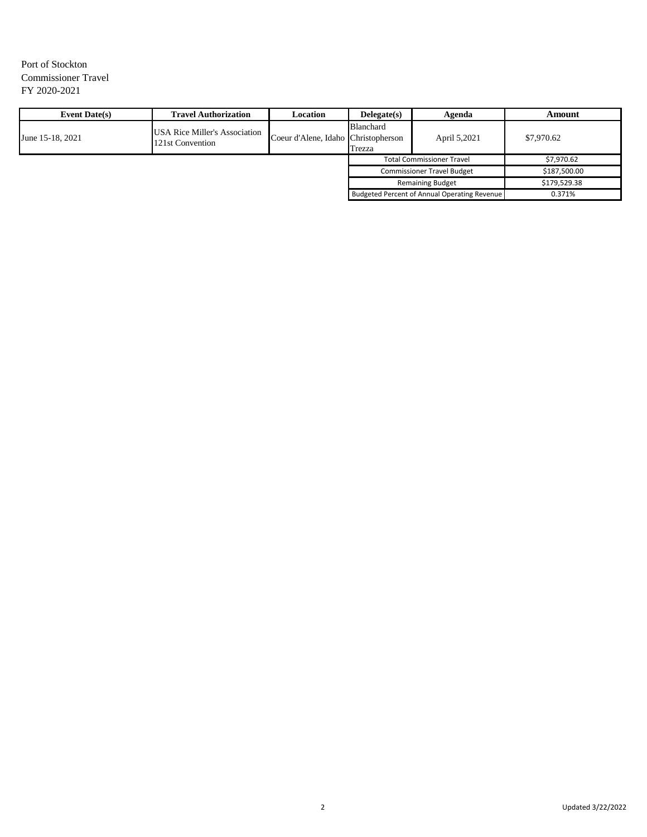# Port of Stockton Commissioner Travel FY 2020-2021

| <b>Event Date(s)</b> | <b>Travel Authorization</b>                              | Location                            | Delegate(s)                       | Agenda                                       | Amount       |
|----------------------|----------------------------------------------------------|-------------------------------------|-----------------------------------|----------------------------------------------|--------------|
| June 15-18, 2021     | <b>USA Rice Miller's Association</b><br>121st Convention | Coeur d'Alene, Idaho Christopherson | Blanchard<br>Trezza               | April 5,2021                                 | \$7,970.62   |
|                      |                                                          |                                     |                                   | <b>Total Commissioner Travel</b>             | \$7,970.62   |
|                      |                                                          |                                     | <b>Commissioner Travel Budget</b> |                                              | \$187,500.00 |
|                      |                                                          |                                     |                                   | <b>Remaining Budget</b>                      | \$179,529.38 |
|                      |                                                          |                                     |                                   | Budgeted Percent of Annual Operating Revenue | 0.371%       |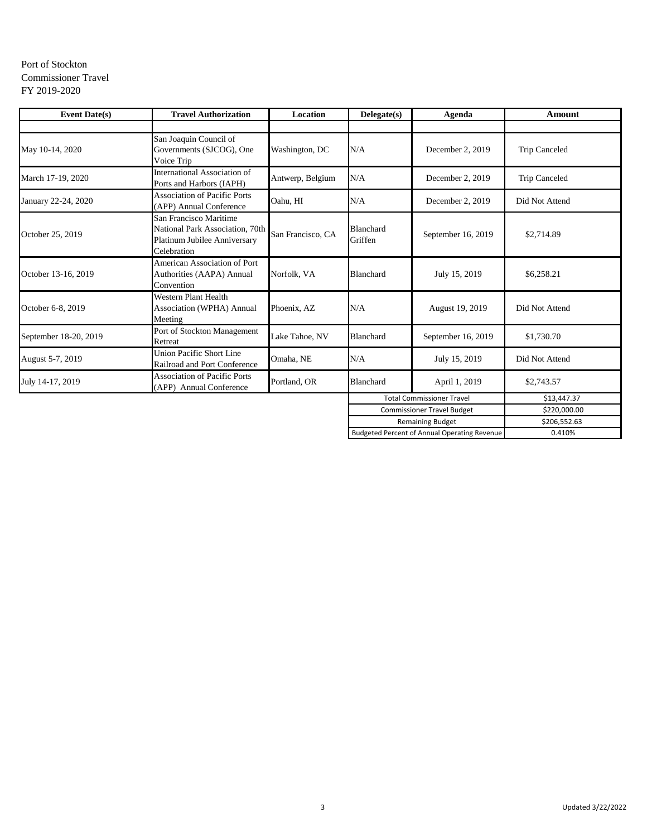## Port of Stockton Commissioner Travel FY 2019-2020

| <b>Event Date(s)</b>  | <b>Travel Authorization</b>                                                                              | Location          | Delegate(s)                 | Agenda                                       | Amount               |
|-----------------------|----------------------------------------------------------------------------------------------------------|-------------------|-----------------------------|----------------------------------------------|----------------------|
|                       |                                                                                                          |                   |                             |                                              |                      |
| May 10-14, 2020       | San Joaquin Council of<br>Governments (SJCOG), One<br>Voice Trip                                         | Washington, DC    | N/A                         | December 2, 2019                             | <b>Trip Canceled</b> |
| March 17-19, 2020     | <b>International Association of</b><br>Ports and Harbors (IAPH)                                          | Antwerp, Belgium  | N/A                         | December 2, 2019                             | <b>Trip Canceled</b> |
| January 22-24, 2020   | <b>Association of Pacific Ports</b><br>(APP) Annual Conference                                           | Oahu, HI          | N/A                         | December 2, 2019                             | Did Not Attend       |
| October 25, 2019      | San Francisco Maritime<br>National Park Association, 70th<br>Platinum Jubilee Anniversary<br>Celebration | San Francisco, CA | <b>Blanchard</b><br>Griffen | September 16, 2019                           | \$2,714.89           |
| October 13-16, 2019   | <b>American Association of Port</b><br>Authorities (AAPA) Annual<br>Convention                           | Norfolk, VA       | <b>Blanchard</b>            | July 15, 2019                                | \$6,258.21           |
| October 6-8, 2019     | <b>Western Plant Health</b><br><b>Association (WPHA) Annual</b><br>Meeting                               | Phoenix, AZ       | N/A                         | August 19, 2019                              | Did Not Attend       |
| September 18-20, 2019 | Port of Stockton Management<br>Retreat                                                                   | Lake Tahoe, NV    | Blanchard                   | September 16, 2019                           | \$1,730.70           |
| August 5-7, 2019      | Union Pacific Short Line<br>Railroad and Port Conference                                                 | Omaha, NE         | N/A                         | July 15, 2019                                | Did Not Attend       |
| July 14-17, 2019      | <b>Association of Pacific Ports</b><br>(APP) Annual Conference                                           | Portland, OR      | Blanchard                   | April 1, 2019                                | \$2,743.57           |
|                       |                                                                                                          |                   |                             | <b>Total Commissioner Travel</b>             | \$13,447.37          |
|                       |                                                                                                          |                   |                             | <b>Commissioner Travel Budget</b>            | \$220,000.00         |
|                       |                                                                                                          |                   |                             | <b>Remaining Budget</b>                      | \$206,552.63         |
|                       |                                                                                                          |                   |                             | Budgeted Percent of Annual Operating Revenue | 0.410%               |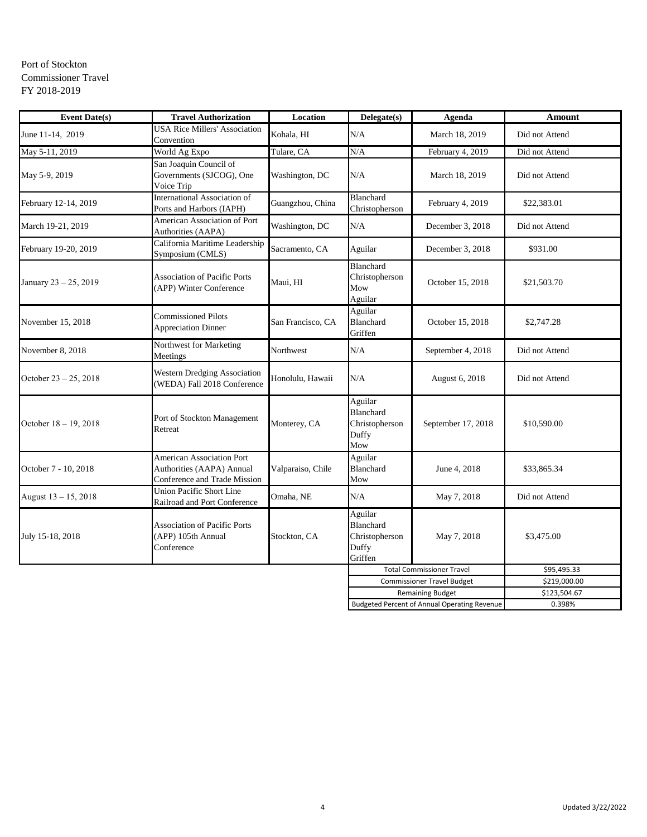# Port of Stockton Commissioner Travel FY 2018-2019

| <b>Event Date(s)</b>  | <b>Travel Authorization</b>                                                                   | Location          | Delegate(s)                                                | Agenda                                       | <b>Amount</b>  |
|-----------------------|-----------------------------------------------------------------------------------------------|-------------------|------------------------------------------------------------|----------------------------------------------|----------------|
| June 11-14, 2019      | <b>USA Rice Millers' Association</b><br>Convention                                            | Kohala, HI        | N/A                                                        | March 18, 2019                               | Did not Attend |
| May 5-11, 2019        | World Ag Expo                                                                                 | Tulare, CA        | N/A                                                        | February 4, 2019                             | Did not Attend |
| May 5-9, 2019         | San Joaquin Council of<br>Governments (SJCOG), One<br>Voice Trip                              | Washington, DC    | N/A                                                        | March 18, 2019                               | Did not Attend |
| February 12-14, 2019  | International Association of<br>Ports and Harbors (IAPH)                                      | Guangzhou, China  | Blanchard<br>Christopherson                                | February 4, 2019                             | \$22,383.01    |
| March 19-21, 2019     | <b>American Association of Port</b><br>Authorities (AAPA)                                     | Washington, DC    | N/A                                                        | December 3, 2018                             | Did not Attend |
| February 19-20, 2019  | California Maritime Leadership<br>Symposium (CMLS)                                            | Sacramento, CA    | Aguilar                                                    | December 3, 2018                             | \$931.00       |
| January 23 - 25, 2019 | <b>Association of Pacific Ports</b><br>(APP) Winter Conference                                | Maui, HI          | Blanchard<br>Christopherson<br>Mow<br>Aguilar              | October 15, 2018                             | \$21,503.70    |
| November 15, 2018     | <b>Commissioned Pilots</b><br><b>Appreciation Dinner</b>                                      | San Francisco, CA | Aguilar<br>Blanchard<br>Griffen                            | October 15, 2018                             | \$2,747.28     |
| November 8, 2018      | Northwest for Marketing<br>Meetings                                                           | Northwest         | N/A                                                        | September 4, 2018                            | Did not Attend |
| October 23 - 25, 2018 | Western Dredging Association<br>(WEDA) Fall 2018 Conference                                   | Honolulu, Hawaii  | N/A                                                        | August 6, 2018                               | Did not Attend |
| October 18 - 19, 2018 | Port of Stockton Management<br>Retreat                                                        | Monterey, CA      | Aguilar<br>Blanchard<br>Christopherson<br>Duffy<br>Mow     | September 17, 2018                           | \$10,590.00    |
| October 7 - 10, 2018  | <b>American Association Port</b><br>Authorities (AAPA) Annual<br>Conference and Trade Mission | Valparaiso, Chile | Aguilar<br>Blanchard<br>Mow                                | June 4, 2018                                 | \$33,865.34    |
| August 13 - 15, 2018  | <b>Union Pacific Short Line</b><br>Railroad and Port Conference                               | Omaha, NE         | N/A                                                        | May 7, 2018                                  | Did not Attend |
| July 15-18, 2018      | <b>Association of Pacific Ports</b><br>(APP) 105th Annual<br>Conference                       | Stockton, CA      | Aguilar<br>Blanchard<br>Christopherson<br>Duffy<br>Griffen | May 7, 2018                                  | \$3,475.00     |
|                       |                                                                                               |                   | <b>Total Commissioner Travel</b>                           |                                              | \$95,495.33    |
|                       |                                                                                               |                   |                                                            | <b>Commissioner Travel Budget</b>            | \$219,000.00   |
|                       |                                                                                               |                   |                                                            | <b>Remaining Budget</b>                      | \$123,504.67   |
|                       |                                                                                               |                   |                                                            | Budgeted Percent of Annual Operating Revenue | 0.398%         |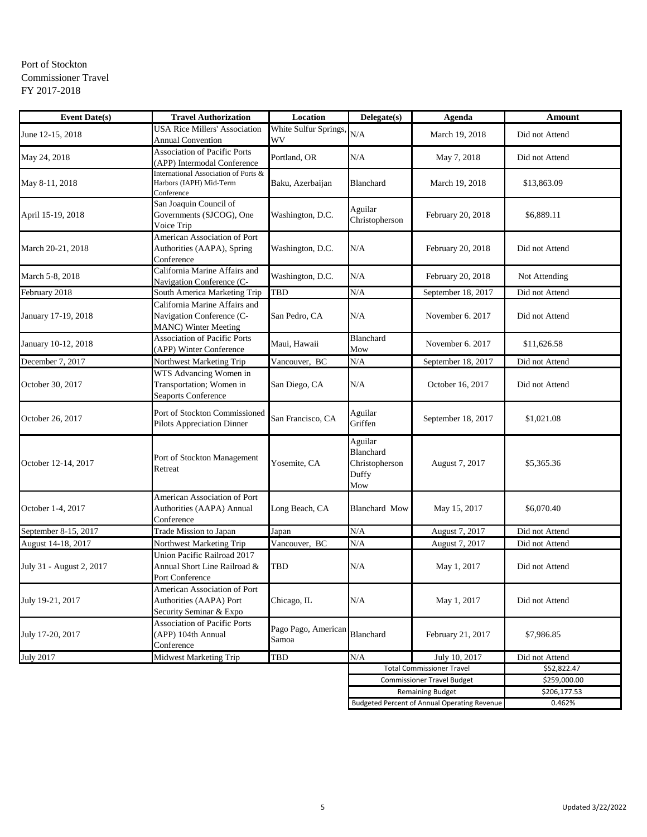## Port of Stockton Commissioner Travel FY 2017-2018

| <b>Event Date(s)</b>     | <b>Travel Authorization</b>                                                               | Location                     | Delegate(s)                                                   | Agenda                                       | Amount         |
|--------------------------|-------------------------------------------------------------------------------------------|------------------------------|---------------------------------------------------------------|----------------------------------------------|----------------|
| June 12-15, 2018         | <b>USA Rice Millers' Association</b><br><b>Annual Convention</b>                          | White Sulfur Springs,<br>WV  | N/A                                                           | March 19, 2018                               | Did not Attend |
| May 24, 2018             | <b>Association of Pacific Ports</b><br>(APP) Intermodal Conference                        | Portland, OR                 | N/A                                                           | May 7, 2018                                  | Did not Attend |
| May 8-11, 2018           | International Association of Ports &<br>Harbors (IAPH) Mid-Term<br>Conference             | Baku, Azerbaijan             | Blanchard                                                     | March 19, 2018                               | \$13,863.09    |
| April 15-19, 2018        | San Joaquin Council of<br>Governments (SJCOG), One<br>Voice Trip                          | Washington, D.C.             | Aguilar<br>Christopherson                                     | February 20, 2018                            | \$6,889.11     |
| March 20-21, 2018        | American Association of Port<br>Authorities (AAPA), Spring<br>Conference                  | Washington, D.C.             | N/A                                                           | February 20, 2018                            | Did not Attend |
| March 5-8, 2018          | California Marine Affairs and<br>Navigation Conference (C-                                | Washington, D.C.             | N/A                                                           | February 20, 2018                            | Not Attending  |
| February 2018            | South America Marketing Trip                                                              | TBD                          | N/A                                                           | September 18, 2017                           | Did not Attend |
| January 17-19, 2018      | California Marine Affairs and<br>Navigation Conference (C-<br><b>MANC)</b> Winter Meeting | San Pedro, CA                | N/A                                                           | November 6. 2017                             | Did not Attend |
| January 10-12, 2018      | <b>Association of Pacific Ports</b><br>(APP) Winter Conference                            | Maui, Hawaii                 | Blanchard<br>Mow                                              | November 6, 2017                             | \$11,626.58    |
| December 7, 2017         | Northwest Marketing Trip                                                                  | Vancouver, BC                | N/A                                                           | September 18, 2017                           | Did not Attend |
| October 30, 2017         | WTS Advancing Women in<br>Transportation; Women in<br>Seaports Conference                 | San Diego, CA                | N/A                                                           | October 16, 2017                             | Did not Attend |
| October 26, 2017         | Port of Stockton Commissioned<br>Pilots Appreciation Dinner                               | San Francisco, CA            | Aguilar<br>Griffen                                            | September 18, 2017                           | \$1,021.08     |
| October 12-14, 2017      | Port of Stockton Management<br>Retreat                                                    | Yosemite, CA                 | Aguilar<br><b>Blanchard</b><br>Christopherson<br>Duffy<br>Mow | August 7, 2017                               | \$5,365.36     |
| October 1-4, 2017        | American Association of Port<br>Authorities (AAPA) Annual<br>Conference                   | Long Beach, CA               | Blanchard Mow                                                 | May 15, 2017                                 | \$6,070.40     |
| September 8-15, 2017     | Trade Mission to Japan                                                                    | Japan                        | N/A                                                           | August 7, 2017                               | Did not Attend |
| August 14-18, 2017       | Northwest Marketing Trip                                                                  | Vancouver, BC                | N/A                                                           | August 7, 2017                               | Did not Attend |
| July 31 - August 2, 2017 | Union Pacific Railroad 2017<br>Annual Short Line Railroad &<br>Port Conference            | TBD                          | N/A                                                           | May 1, 2017                                  | Did not Attend |
| July 19-21, 2017         | American Association of Port<br>Authorities (AAPA) Port<br>Security Seminar & Expo        | Chicago, IL                  | N/A                                                           | May 1, 2017                                  | Did not Attend |
| July 17-20, 2017         | <b>Association of Pacific Ports</b><br>(APP) 104th Annual<br>Conference                   | Pago Pago, American<br>Samoa | Blanchard                                                     | February 21, 2017                            | \$7,986.85     |
| <b>July 2017</b>         | Midwest Marketing Trip                                                                    | TBD                          | N/A                                                           | July 10, 2017                                | Did not Attend |
|                          |                                                                                           |                              |                                                               | <b>Total Commissioner Travel</b>             | \$52,822.47    |
|                          |                                                                                           |                              |                                                               | <b>Commissioner Travel Budget</b>            | \$259,000.00   |
|                          |                                                                                           |                              |                                                               | <b>Remaining Budget</b>                      | \$206,177.53   |
|                          |                                                                                           |                              |                                                               | Budgeted Percent of Annual Operating Revenue | 0.462%         |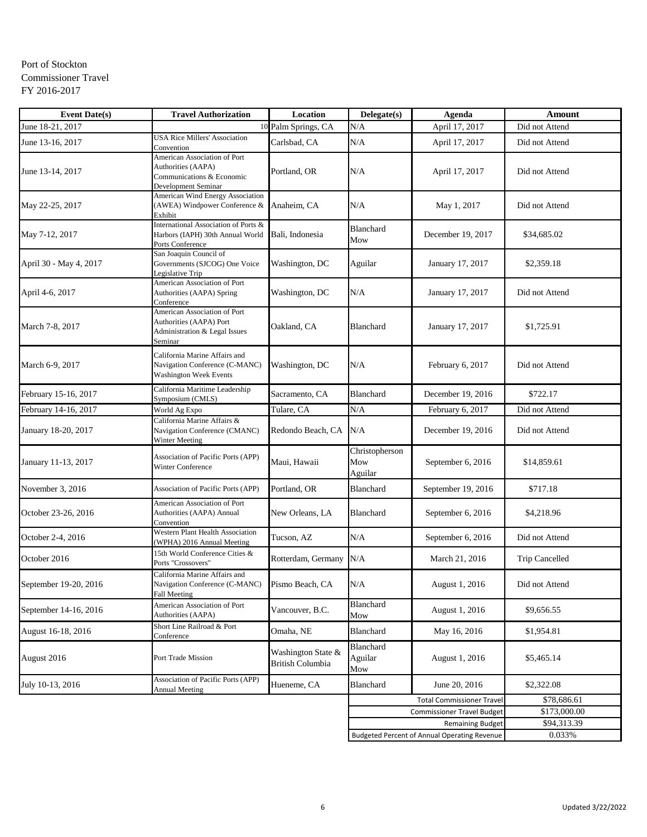## Port of Stockton Commissioner Travel FY 2016-2017

| <b>Event Date(s)</b>   | <b>Travel Authorization</b>                                                                                | Location                                      | Delegate(s)                      | Agenda                                              | <b>Amount</b>         |
|------------------------|------------------------------------------------------------------------------------------------------------|-----------------------------------------------|----------------------------------|-----------------------------------------------------|-----------------------|
| June 18-21, 2017       |                                                                                                            | 10 Palm Springs, CA                           | N/A                              | April 17, 2017                                      | Did not Attend        |
| June 13-16, 2017       | <b>USA Rice Millers' Association</b><br>Convention                                                         | Carlsbad, CA                                  | N/A                              | April 17, 2017                                      | Did not Attend        |
| June 13-14, 2017       | American Association of Port<br>Authorities (AAPA)<br>Communications & Economic<br>Development Seminar     | Portland, OR                                  | N/A                              | April 17, 2017                                      | Did not Attend        |
| May 22-25, 2017        | American Wind Energy Association<br>(AWEA) Windpower Conference &<br>Exhibit                               | Anaheim, CA                                   | N/A                              | May 1, 2017                                         | Did not Attend        |
| May 7-12, 2017         | International Association of Ports &<br>Harbors (IAPH) 30th Annual World<br>Ports Conference               | Bali, Indonesia                               | <b>Blanchard</b><br>Mow          | December 19, 2017                                   | \$34,685.02           |
| April 30 - May 4, 2017 | San Joaquin Council of<br>Governments (SJCOG) One Voice<br>Legislative Trip                                | Washington, DC                                | Aguilar                          | January 17, 2017                                    | \$2,359.18            |
| April 4-6, 2017        | American Association of Port<br>Authorities (AAPA) Spring<br>Conference                                    | Washington, DC                                | N/A                              | January 17, 2017                                    | Did not Attend        |
| March 7-8, 2017        | American Association of Port<br><b>Authorities (AAPA) Port</b><br>Administration & Legal Issues<br>Seminar | Oakland, CA                                   | Blanchard                        | January 17, 2017                                    | \$1,725.91            |
| March 6-9, 2017        | California Marine Affairs and<br>Navigation Conference (C-MANC)<br><b>Washington Week Events</b>           | Washington, DC                                | N/A                              | February 6, 2017                                    | Did not Attend        |
| February 15-16, 2017   | California Maritime Leadership<br>Symposium (CMLS)                                                         | Sacramento, CA                                | Blanchard                        | December 19, 2016                                   | \$722.17              |
| February 14-16, 2017   | World Ag Expo                                                                                              | Tulare, CA                                    | N/A                              | February 6, 2017                                    | Did not Attend        |
| January 18-20, 2017    | California Marine Affairs &<br>Navigation Conference (CMANC)<br>Winter Meeting                             | Redondo Beach, CA                             | N/A                              | December 19, 2016                                   | Did not Attend        |
| January 11-13, 2017    | <b>Association of Pacific Ports (APP)</b><br>Winter Conference                                             | Maui, Hawaii                                  | Christopherson<br>Mow<br>Aguilar | September 6, 2016                                   | \$14,859.61           |
| November 3, 2016       | <b>Association of Pacific Ports (APP)</b>                                                                  | Portland, OR                                  | Blanchard                        | September 19, 2016                                  | \$717.18              |
| October 23-26, 2016    | American Association of Port<br>Authorities (AAPA) Annual<br>Convention                                    | New Orleans, LA                               | Blanchard                        | September 6, 2016                                   | \$4,218.96            |
| October 2-4, 2016      | Western Plant Health Association<br>(WPHA) 2016 Annual Meeting                                             | Tucson, AZ                                    | N/A                              | September 6, 2016                                   | Did not Attend        |
| October 2016           | 15th World Conference Cities &<br>Ports "Crossovers"                                                       | Rotterdam, Germany                            | N/A                              | March 21, 2016                                      | <b>Trip Cancelled</b> |
| September 19-20, 2016  | California Marine Affairs and<br>Navigation Conference (C-MANC)<br>Fall Meeting                            | Pismo Beach, CA                               | N/A                              | August 1, 2016                                      | Did not Attend        |
| September 14-16, 2016  | American Association of Port<br>Authorities (AAPA)                                                         | Vancouver, B.C.                               | Blanchard<br>Mow                 | August 1, 2016                                      | \$9,656.55            |
| August 16-18, 2016     | Short Line Railroad & Port<br>Conference                                                                   | Omaha, NE                                     | Blanchard                        | May 16, 2016                                        | \$1,954.81            |
| August 2016            | Port Trade Mission                                                                                         | Washington State &<br><b>British Columbia</b> | Blanchard<br>Aguilar<br>Mow      | August 1, 2016                                      | \$5,465.14            |
| July 10-13, 2016       | Association of Pacific Ports (APP)<br><b>Annual Meeting</b>                                                | Hueneme, CA                                   | Blanchard                        | June 20, 2016                                       | \$2,322.08            |
|                        |                                                                                                            |                                               |                                  | <b>Total Commissioner Travel</b>                    | \$78,686.61           |
|                        |                                                                                                            |                                               |                                  | <b>Commissioner Travel Budget</b>                   | \$173,000.00          |
|                        |                                                                                                            |                                               |                                  | <b>Remaining Budget</b>                             | \$94,313.39           |
|                        |                                                                                                            |                                               |                                  | <b>Budgeted Percent of Annual Operating Revenue</b> | 0.033%                |